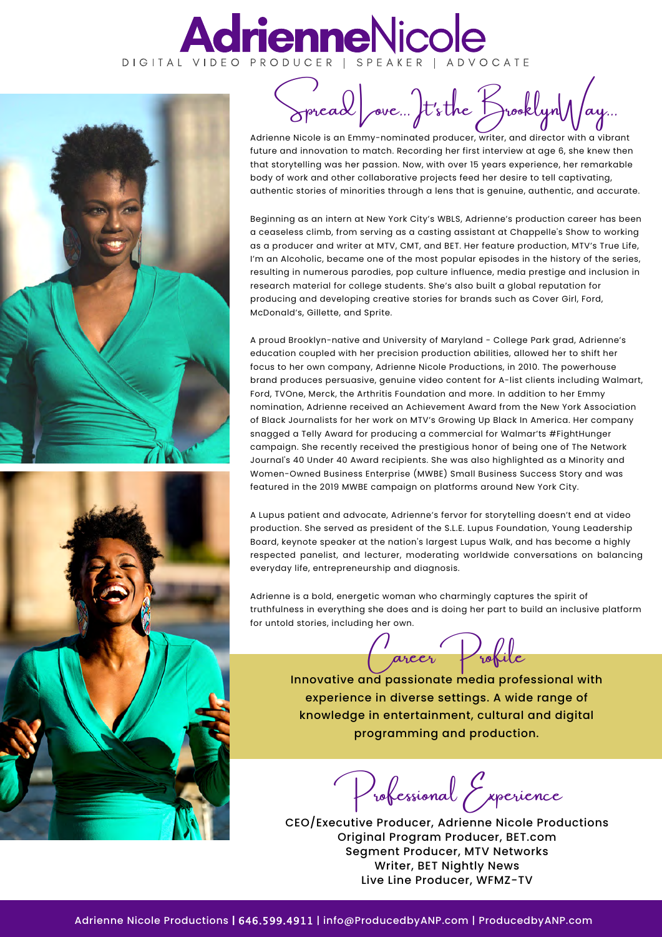## **AdrienneNicole**





Spread ove Fts the Brooklyn Nay.

Adrienne Nicole is an Emmy-nominated producer, writer, and director with a vibrant future and innovation to match. Recording her first interview at age 6, she knew then that storytelling was her passion. Now, with over 15 years experience, her remarkable body of work and other collaborative projects feed her desire to tell captivating, authentic stories of minorities through a lens that is genuine, authentic, and accurate.

Beginning as an intern at New York City's WBLS, Adrienne's production career has been a ceaseless climb, from serving as a casting assistant at Chappelle's Show to working as a producer and writer at MTV, CMT, and BET. Her feature production, MTV's True Life, I'm an Alcoholic, became one of the most popular episodes in the history of the series, resulting in numerous parodies, pop culture influence, media prestige and inclusion in research material for college students. She's also built a global reputation for producing and developing creative stories for brands such as Cover Girl, Ford, McDonald's, Gillette, and Sprite.

A proud Brooklyn-native and University of Maryland - College Park grad, Adrienne's education coupled with her precision production abilities, allowed her to shift her focus to her own company, Adrienne Nicole Productions, in 2010. The powerhouse brand produces persuasive, genuine video content for A-list clients including Walmart, Ford, TVOne, Merck, the Arthritis Foundation and more. In addition to her Emmy nomination, Adrienne received an Achievement Award from the New York Association of Black Journalists for her work on MTV's Growing Up Black In America. Her company snagged a Telly Award for producing a commercial for Walmar'ts #FightHunger campaign. She recently received the prestigious honor of being one of The Network Journal's 40 Under 40 Award recipients. She was also highlighted as a Minority and Women-Owned Business Enterprise (MWBE) Small Business Success Story and was featured in the 2019 MWBE campaign on platforms around New York City.

A Lupus patient and advocate, Adrienne's fervor for storytelling doesn't end at video production. She served as president of the S.L.E. Lupus Foundation, Young Leadership Board, keynote speaker at the nation's largest Lupus Walk, and has become a highly respected panelist, and lecturer, moderating worldwide conversations on balancing everyday life, entrepreneurship and diagnosis.

Adrienne is a bold, energetic woman who charmingly captures the spirit of truthfulness in everything she does and is doing her part to build an inclusive platform for untold stories, including her own.



Innovative and passionate media professional with experience in diverse settings. A wide range of knowledge in entertainment, cultural and digital programming and production.

Professional Experience

CEO/Executive Producer, Adrienne Nicole Productions Original Program Producer, BET.com Segment Producer, MTV Networks Writer, BET Nightly News Live Line Producer, WFMZ-TV